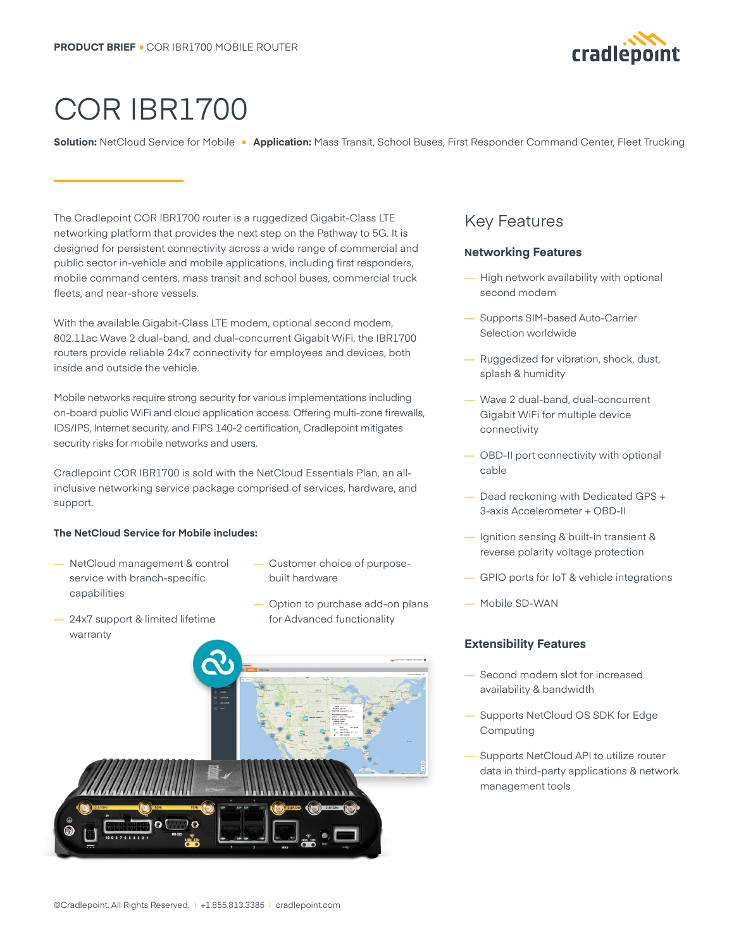

# COR IBR1700

**Solution:** NetCloud Service for Mobile **Application:** Mass Transit, School Buses, First Responder Command Center, Fleet Trucking

The Cradlepoint COR IBR1700 router is a ruggedized Gigabit-Class LTE networking platform that provides the next step on the Pathway to 5G. It is designed for persistent connectivity across a wide range of commercial and public sector in-vehicle and mobile applications, including first responders, mobile command centers, mass transit and school buses, commercial truck fleets, and near-shore vessels.

With the available Gigabit-Class LTE modem, optional second modem, 802.11ac Wave 2 dual-band, and dual-concurrent Gigabit WiFi, the IBR1700 routers provide reliable 24x7 connectivity for employees and devices, both inside and outside the vehicle.

Mobile networks require strong security for various implementations including on-board public WiFi and cloud application access. Offering multi-zone firewalls, IDS/IPS, Internet security, and FIPS 140-2 certification, Cradlepoint mitigates security risks for mobile networks and users.

Cradlepoint COR IBR1700 is sold with the NetCloud Essentials Plan, an allinclusive networking service package comprised of services, hardware, and support.

#### **The NetCloud Service for Mobile includes:**

- NetCloud management & control service with branch-specific capabilities
- Customer choice of purposebuilt hardware
- 24x7 support & limited lifetime warranty
- Option to purchase add-on plans for Advanced functionality



### Key Features

#### **Networking Features**

- High network availability with optional second modem
- Supports SIM-based Auto-Carrier Selection worldwide
- Ruggedized for vibration, shock, dust, splash & humidity
- Wave 2 dual-band, dual-concurrent Gigabit WiFi for multiple device connectivity
- OBD-II port connectivity with optional cable
- Dead reckoning with Dedicated GPS + 3-axis Accelerometer + OBD-II
- Ignition sensing & built-in transient & reverse polarity voltage protection
- GPIO ports for IoT & vehicle integrations
- Mobile SD-WAN

#### **Extensibility Features**

- Second modem slot for increased availability & bandwidth
- Supports NetCloud OS SDK for Edge Computing
- Supports NetCloud API to utilize router data in third-party applications & network management tools